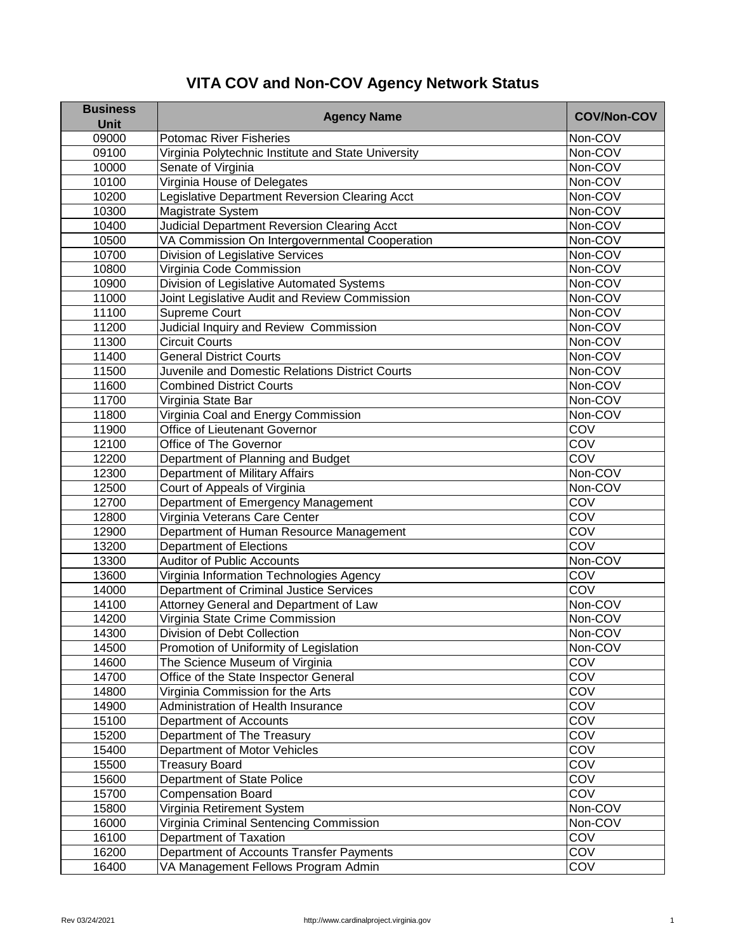## **VITA COV and Non-COV Agency Network Status**

| <b>Business</b> | <b>Agency Name</b>                                  | <b>COV/Non-COV</b> |
|-----------------|-----------------------------------------------------|--------------------|
| <b>Unit</b>     |                                                     |                    |
| 09000           | <b>Potomac River Fisheries</b>                      | Non-COV            |
| 09100           | Virginia Polytechnic Institute and State University | Non-COV            |
| 10000           | Senate of Virginia                                  | Non-COV            |
| 10100           | Virginia House of Delegates                         | Non-COV            |
| 10200           | Legislative Department Reversion Clearing Acct      | Non-COV            |
| 10300           | <b>Magistrate System</b>                            | Non-COV            |
| 10400           | <b>Judicial Department Reversion Clearing Acct</b>  | Non-COV            |
| 10500           | VA Commission On Intergovernmental Cooperation      | Non-COV            |
| 10700           | <b>Division of Legislative Services</b>             | Non-COV            |
| 10800           | Virginia Code Commission                            | Non-COV            |
| 10900           | Division of Legislative Automated Systems           | Non-COV            |
| 11000           | Joint Legislative Audit and Review Commission       | Non-COV            |
| 11100           | <b>Supreme Court</b>                                | Non-COV            |
| 11200           | Judicial Inquiry and Review Commission              | Non-COV            |
| 11300           | Circuit Courts                                      | Non-COV            |
| 11400           | <b>General District Courts</b>                      | Non-COV            |
| 11500           | Juvenile and Domestic Relations District Courts     | Non-COV            |
| 11600           | <b>Combined District Courts</b>                     | Non-COV            |
| 11700           | Virginia State Bar                                  | Non-COV            |
| 11800           | Virginia Coal and Energy Commission                 | Non-COV            |
| 11900           | <b>Office of Lieutenant Governor</b>                | COV                |
| 12100           | Office of The Governor                              | COV                |
| 12200           | Department of Planning and Budget                   | COV                |
| 12300           | Department of Military Affairs                      | Non-COV            |
| 12500           | Court of Appeals of Virginia                        | Non-COV            |
| 12700           | Department of Emergency Management                  | COV                |
| 12800           | Virginia Veterans Care Center                       | COV                |
| 12900           | Department of Human Resource Management             | COV                |
| 13200           | <b>Department of Elections</b>                      | COV                |
| 13300           | <b>Auditor of Public Accounts</b>                   | Non-COV            |
| 13600           | Virginia Information Technologies Agency            | COV                |
| 14000           | <b>Department of Criminal Justice Services</b>      | <b>COV</b>         |
| 14100           | Attorney General and Department of Law              | Non-COV            |
| 14200           | Virginia State Crime Commission                     | Non-COV            |
| 14300           | <b>Division of Debt Collection</b>                  | Non-COV            |
| 14500           | Promotion of Uniformity of Legislation              | Non-COV            |
| 14600           | The Science Museum of Virginia                      | COV                |
| 14700           | Office of the State Inspector General               | COV                |
| 14800           | Virginia Commission for the Arts                    | COV                |
| 14900           | <b>Administration of Health Insurance</b>           | COV                |
| 15100           | Department of Accounts                              | COV                |
| 15200           | Department of The Treasury                          | COV                |
| 15400           | <b>Department of Motor Vehicles</b>                 | COV                |
| 15500           | <b>Treasury Board</b>                               | COV                |
| 15600           | <b>Department of State Police</b>                   | COV                |
| 15700           | <b>Compensation Board</b>                           | COV                |
| 15800           | Virginia Retirement System                          | Non-COV            |
| 16000           | Virginia Criminal Sentencing Commission             | Non-COV            |
| 16100           | Department of Taxation                              | COV                |
| 16200           | Department of Accounts Transfer Payments            | COV                |
| 16400           | VA Management Fellows Program Admin                 | COV                |
|                 |                                                     |                    |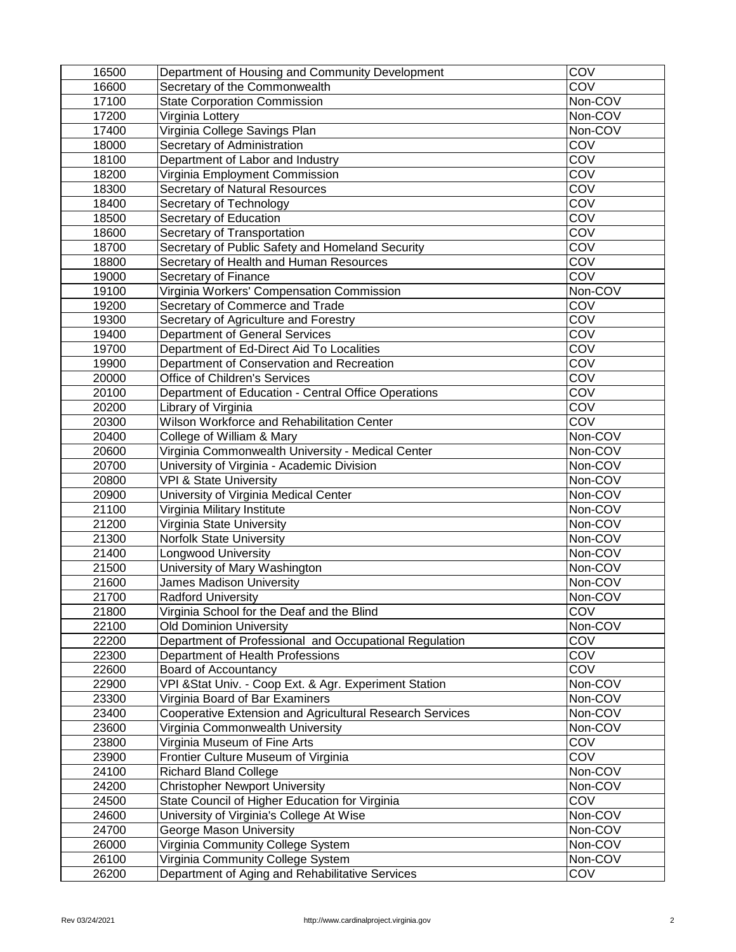| 16500 | Department of Housing and Community Development                 | COV        |
|-------|-----------------------------------------------------------------|------------|
| 16600 | Secretary of the Commonwealth                                   | COV        |
| 17100 | <b>State Corporation Commission</b>                             | Non-COV    |
| 17200 | Virginia Lottery                                                | Non-COV    |
| 17400 | Virginia College Savings Plan                                   | Non-COV    |
| 18000 | Secretary of Administration                                     | COV        |
| 18100 | Department of Labor and Industry                                | COV        |
| 18200 | Virginia Employment Commission                                  | COV        |
| 18300 | <b>Secretary of Natural Resources</b>                           | COV        |
| 18400 | <b>Secretary of Technology</b>                                  | COV        |
| 18500 | <b>Secretary of Education</b>                                   | COV        |
| 18600 | Secretary of Transportation                                     | COV        |
| 18700 | Secretary of Public Safety and Homeland Security                | COV        |
| 18800 | Secretary of Health and Human Resources                         | COV        |
| 19000 | <b>Secretary of Finance</b>                                     | COV        |
| 19100 | Virginia Workers' Compensation Commission                       | Non-COV    |
| 19200 | Secretary of Commerce and Trade                                 | COV        |
| 19300 | Secretary of Agriculture and Forestry                           | COV        |
| 19400 | <b>Department of General Services</b>                           | COV        |
| 19700 | Department of Ed-Direct Aid To Localities                       | COV        |
| 19900 | Department of Conservation and Recreation                       | COV        |
| 20000 | <b>Office of Children's Services</b>                            | COV        |
| 20100 | Department of Education - Central Office Operations             | COV        |
| 20200 | Library of Virginia                                             | COV        |
| 20300 | <b>Wilson Workforce and Rehabilitation Center</b>               | COV        |
| 20400 | College of William & Mary                                       | Non-COV    |
| 20600 | Virginia Commonwealth University - Medical Center               | Non-COV    |
| 20700 | University of Virginia - Academic Division                      | Non-COV    |
| 20800 | <b>VPI &amp; State University</b>                               | Non-COV    |
| 20900 | University of Virginia Medical Center                           | Non-COV    |
| 21100 | Virginia Military Institute                                     | Non-COV    |
| 21200 | Virginia State University                                       | Non-COV    |
| 21300 | <b>Norfolk State University</b>                                 | Non-COV    |
| 21400 | Longwood University                                             | Non-COV    |
| 21500 | University of Mary Washington                                   | Non-COV    |
| 21600 | <b>James Madison University</b>                                 | Non-COV    |
| 21700 | <b>Radford University</b>                                       | Non-COV    |
| 21800 | Virginia School for the Deaf and the Blind                      | COV        |
| 22100 | <b>Old Dominion University</b>                                  | Non-COV    |
| 22200 | Department of Professional and Occupational Regulation          | COV        |
| 22300 | Department of Health Professions                                | COV        |
| 22600 | <b>Board of Accountancy</b>                                     | <b>COV</b> |
| 22900 | VPI & Stat Univ. - Coop Ext. & Agr. Experiment Station          | Non-COV    |
| 23300 | Virginia Board of Bar Examiners                                 | Non-COV    |
| 23400 | <b>Cooperative Extension and Agricultural Research Services</b> | Non-COV    |
| 23600 | Virginia Commonwealth University                                | Non-COV    |
| 23800 | Virginia Museum of Fine Arts                                    | COV        |
| 23900 | Frontier Culture Museum of Virginia                             | <b>COV</b> |
| 24100 | <b>Richard Bland College</b>                                    | Non-COV    |
| 24200 | <b>Christopher Newport University</b>                           | Non-COV    |
| 24500 | State Council of Higher Education for Virginia                  | COV        |
| 24600 | University of Virginia's College At Wise                        | Non-COV    |
| 24700 | <b>George Mason University</b>                                  | Non-COV    |
| 26000 | Virginia Community College System                               | Non-COV    |
| 26100 | Virginia Community College System                               | Non-COV    |
| 26200 | Department of Aging and Rehabilitative Services                 | COV        |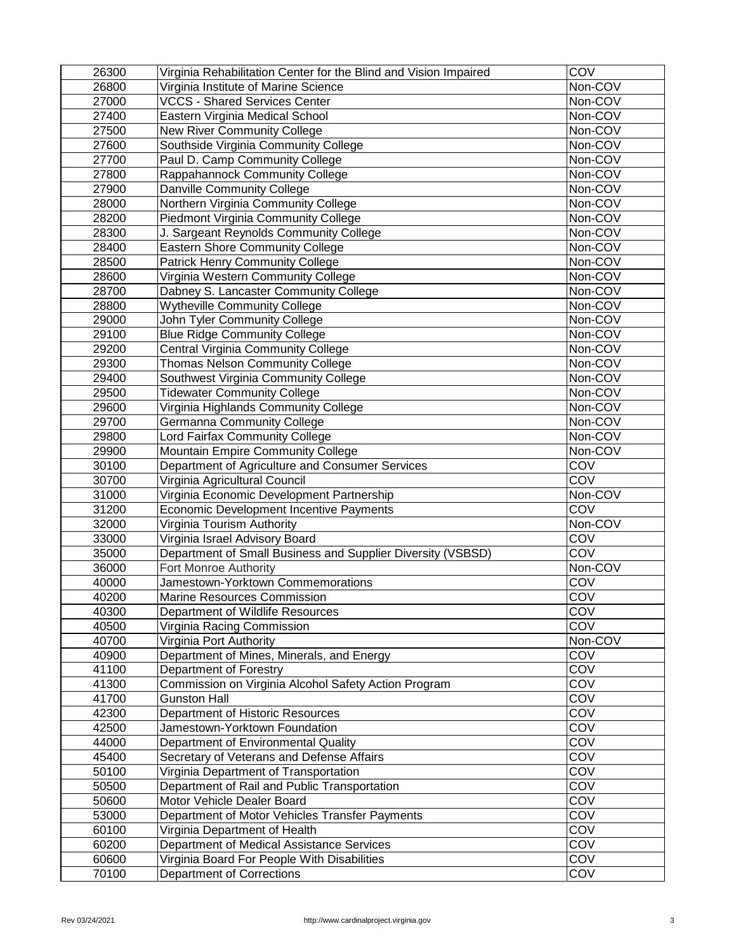| 26300 | Virginia Rehabilitation Center for the Blind and Vision Impaired | COV        |
|-------|------------------------------------------------------------------|------------|
| 26800 | Virginia Institute of Marine Science                             | Non-COV    |
| 27000 | <b>VCCS - Shared Services Center</b>                             | Non-COV    |
| 27400 | <b>Eastern Virginia Medical School</b>                           | Non-COV    |
| 27500 | <b>New River Community College</b>                               | Non-COV    |
| 27600 | Southside Virginia Community College                             | Non-COV    |
| 27700 | Paul D. Camp Community College                                   | Non-COV    |
| 27800 | <b>Rappahannock Community College</b>                            | Non-COV    |
| 27900 | <b>Danville Community College</b>                                | Non-COV    |
| 28000 | Northern Virginia Community College                              | Non-COV    |
| 28200 | <b>Piedmont Virginia Community College</b>                       | Non-COV    |
| 28300 | J. Sargeant Reynolds Community College                           | Non-COV    |
| 28400 | <b>Eastern Shore Community College</b>                           | Non-COV    |
| 28500 | <b>Patrick Henry Community College</b>                           | Non-COV    |
| 28600 | Virginia Western Community College                               | Non-COV    |
| 28700 | Dabney S. Lancaster Community College                            | Non-COV    |
| 28800 | <b>Wytheville Community College</b>                              | Non-COV    |
| 29000 | <b>John Tyler Community College</b>                              | Non-COV    |
| 29100 | <b>Blue Ridge Community College</b>                              | Non-COV    |
| 29200 | <b>Central Virginia Community College</b>                        | Non-COV    |
| 29300 | <b>Thomas Nelson Community College</b>                           | Non-COV    |
| 29400 | Southwest Virginia Community College                             | Non-COV    |
| 29500 | <b>Tidewater Community College</b>                               | Non-COV    |
| 29600 | Virginia Highlands Community College                             | Non-COV    |
| 29700 | <b>Germanna Community College</b>                                | Non-COV    |
| 29800 | <b>Lord Fairfax Community College</b>                            | Non-COV    |
| 29900 | <b>Mountain Empire Community College</b>                         | Non-COV    |
| 30100 | Department of Agriculture and Consumer Services                  | COV        |
| 30700 | Virginia Agricultural Council                                    | <b>COV</b> |
| 31000 | Virginia Economic Development Partnership                        | Non-COV    |
| 31200 | <b>Economic Development Incentive Payments</b>                   | COV        |
| 32000 | Virginia Tourism Authority                                       | Non-COV    |
| 33000 | Virginia Israel Advisory Board                                   | COV        |
| 35000 | Department of Small Business and Supplier Diversity (VSBSD)      | COV        |
| 36000 | <b>Fort Monroe Authority</b>                                     | Non-COV    |
| 40000 | <b>Jamestown-Yorktown Commemorations</b>                         | COV        |
| 40200 | <b>Marine Resources Commission</b>                               | COV        |
| 40300 | Department of Wildlife Resources                                 | COV        |
| 40500 | Virginia Racing Commission                                       | COV        |
| 40700 | Virginia Port Authority                                          | Non-COV    |
| 40900 | Department of Mines, Minerals, and Energy                        | COV        |
| 41100 | Department of Forestry                                           | COV        |
| 41300 | Commission on Virginia Alcohol Safety Action Program             | COV        |
| 41700 | <b>Gunston Hall</b>                                              | COV        |
| 42300 | Department of Historic Resources                                 | COV        |
| 42500 | Jamestown-Yorktown Foundation                                    | COV        |
| 44000 | Department of Environmental Quality                              | COV        |
| 45400 | Secretary of Veterans and Defense Affairs                        | COV        |
| 50100 | Virginia Department of Transportation                            | COV        |
| 50500 | Department of Rail and Public Transportation                     | COV        |
| 50600 | <b>Motor Vehicle Dealer Board</b>                                | COV        |
| 53000 | Department of Motor Vehicles Transfer Payments                   | COV        |
| 60100 | Virginia Department of Health                                    | COV        |
| 60200 | Department of Medical Assistance Services                        | COV        |
| 60600 | Virginia Board For People With Disabilities                      | COV        |
| 70100 | <b>Department of Corrections</b>                                 | COV        |
|       |                                                                  |            |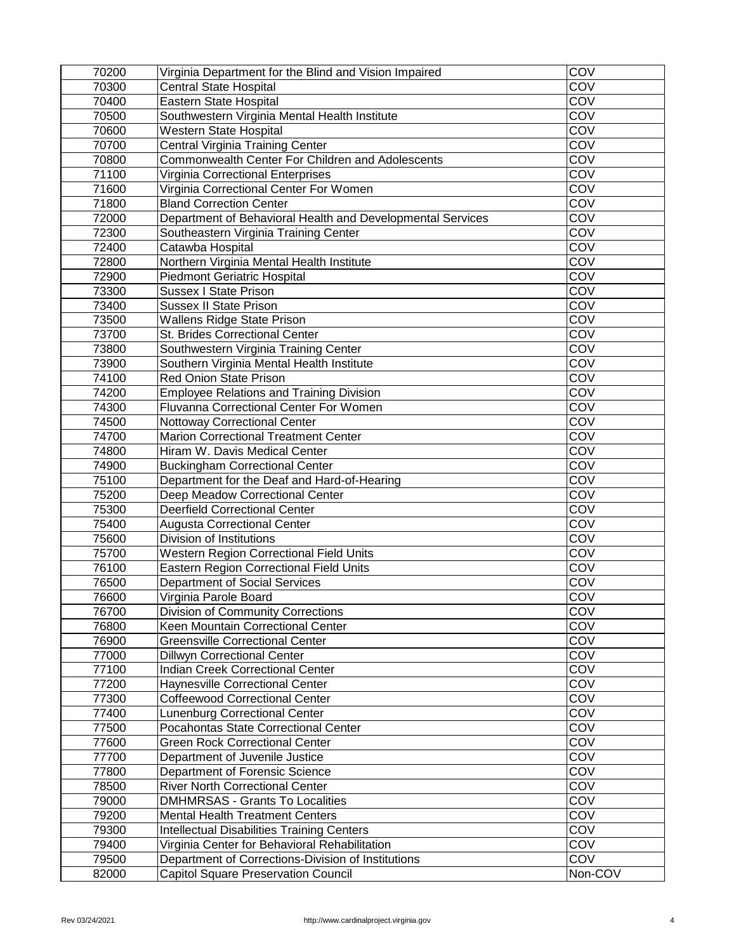| 70200 | Virginia Department for the Blind and Vision Impaired      | COV        |
|-------|------------------------------------------------------------|------------|
| 70300 | <b>Central State Hospital</b>                              | COV        |
| 70400 | <b>Eastern State Hospital</b>                              | COV        |
| 70500 | Southwestern Virginia Mental Health Institute              | COV        |
| 70600 | <b>Western State Hospital</b>                              | COV        |
| 70700 | Central Virginia Training Center                           | COV        |
| 70800 | <b>Commonwealth Center For Children and Adolescents</b>    | COV        |
| 71100 | Virginia Correctional Enterprises                          | COV        |
| 71600 | Virginia Correctional Center For Women                     | COV        |
| 71800 | <b>Bland Correction Center</b>                             | COV        |
| 72000 | Department of Behavioral Health and Developmental Services | COV        |
| 72300 | Southeastern Virginia Training Center                      | COV        |
| 72400 | Catawba Hospital                                           | COV        |
| 72800 | Northern Virginia Mental Health Institute                  | COV        |
| 72900 | <b>Piedmont Geriatric Hospital</b>                         | COV        |
| 73300 | <b>Sussex I State Prison</b>                               | COV        |
| 73400 | <b>Sussex II State Prison</b>                              | COV        |
| 73500 | <b>Wallens Ridge State Prison</b>                          | COV        |
| 73700 | <b>St. Brides Correctional Center</b>                      | COV        |
| 73800 | Southwestern Virginia Training Center                      | COV        |
| 73900 | Southern Virginia Mental Health Institute                  | COV        |
| 74100 | <b>Red Onion State Prison</b>                              | COV        |
| 74200 | <b>Employee Relations and Training Division</b>            | COV        |
| 74300 | <b>Fluvanna Correctional Center For Women</b>              | COV        |
| 74500 | <b>Nottoway Correctional Center</b>                        | COV        |
| 74700 | <b>Marion Correctional Treatment Center</b>                | COV        |
| 74800 | Hiram W. Davis Medical Center                              | COV        |
| 74900 | <b>Buckingham Correctional Center</b>                      | COV        |
| 75100 | Department for the Deaf and Hard-of-Hearing                | COV        |
| 75200 | Deep Meadow Correctional Center                            | COV        |
| 75300 | <b>Deerfield Correctional Center</b>                       | COV        |
| 75400 | <b>Augusta Correctional Center</b>                         | COV        |
| 75600 | Division of Institutions                                   | COV        |
| 75700 | <b>Western Region Correctional Field Units</b>             | COV        |
| 76100 | <b>Eastern Region Correctional Field Units</b>             | COV        |
| 76500 | <b>Department of Social Services</b>                       | COV        |
| 76600 | Virginia Parole Board                                      | COV        |
| 76700 | <b>Division of Community Corrections</b>                   | COV        |
| 76800 | <b>Keen Mountain Correctional Center</b>                   | COV        |
| 76900 | <b>Greensville Correctional Center</b>                     | COV        |
| 77000 | <b>Dillwyn Correctional Center</b>                         | COV        |
| 77100 | <b>Indian Creek Correctional Center</b>                    | COV        |
| 77200 | <b>Haynesville Correctional Center</b>                     | COV        |
| 77300 | <b>Coffeewood Correctional Center</b>                      | COV        |
| 77400 | Lunenburg Correctional Center                              | COV        |
| 77500 | <b>Pocahontas State Correctional Center</b>                | COV        |
| 77600 | Green Rock Correctional Center                             | COV        |
| 77700 | Department of Juvenile Justice                             | COV        |
| 77800 | <b>Department of Forensic Science</b>                      | COV        |
| 78500 | <b>River North Correctional Center</b>                     | COV        |
| 79000 | <b>DMHMRSAS - Grants To Localities</b>                     | COV        |
| 79200 | <b>Mental Health Treatment Centers</b>                     | COV        |
| 79300 | <b>Intellectual Disabilities Training Centers</b>          | COV        |
| 79400 | Virginia Center for Behavioral Rehabilitation              | COV        |
| 79500 | Department of Corrections-Division of Institutions         | <b>COV</b> |
| 82000 | <b>Capitol Square Preservation Council</b>                 | Non-COV    |
|       |                                                            |            |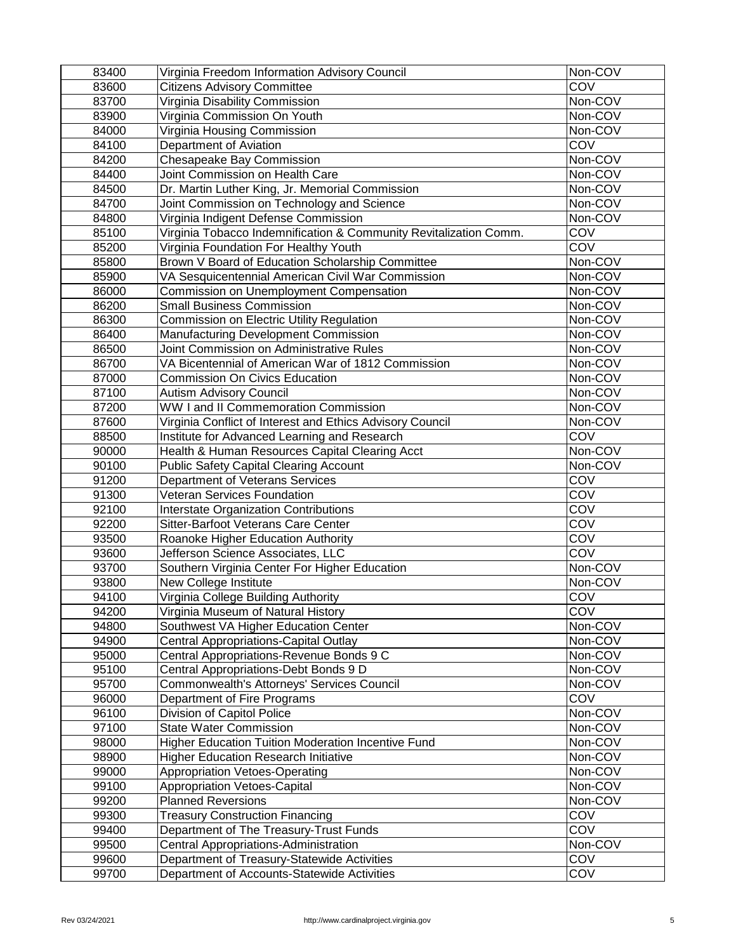| 83400 | Virginia Freedom Information Advisory Council                     | Non-COV    |
|-------|-------------------------------------------------------------------|------------|
| 83600 | <b>Citizens Advisory Committee</b>                                | COV        |
| 83700 | Virginia Disability Commission                                    | Non-COV    |
| 83900 | Virginia Commission On Youth                                      | Non-COV    |
| 84000 | Virginia Housing Commission                                       | Non-COV    |
| 84100 | Department of Aviation                                            | <b>COV</b> |
| 84200 | <b>Chesapeake Bay Commission</b>                                  | Non-COV    |
| 84400 | Joint Commission on Health Care                                   | Non-COV    |
| 84500 | Dr. Martin Luther King, Jr. Memorial Commission                   | Non-COV    |
| 84700 | Joint Commission on Technology and Science                        | Non-COV    |
| 84800 | Virginia Indigent Defense Commission                              | Non-COV    |
| 85100 | Virginia Tobacco Indemnification & Community Revitalization Comm. | COV        |
| 85200 | Virginia Foundation For Healthy Youth                             | <b>COV</b> |
| 85800 | Brown V Board of Education Scholarship Committee                  | Non-COV    |
| 85900 | VA Sesquicentennial American Civil War Commission                 | Non-COV    |
| 86000 | <b>Commission on Unemployment Compensation</b>                    | Non-COV    |
| 86200 | <b>Small Business Commission</b>                                  | Non-COV    |
| 86300 | <b>Commission on Electric Utility Regulation</b>                  | Non-COV    |
| 86400 | <b>Manufacturing Development Commission</b>                       | Non-COV    |
| 86500 | Joint Commission on Administrative Rules                          | Non-COV    |
| 86700 | VA Bicentennial of American War of 1812 Commission                | Non-COV    |
| 87000 | <b>Commission On Civics Education</b>                             | Non-COV    |
| 87100 | <b>Autism Advisory Council</b>                                    | Non-COV    |
| 87200 | <b>WW I and II Commemoration Commission</b>                       | Non-COV    |
| 87600 | Virginia Conflict of Interest and Ethics Advisory Council         | Non-COV    |
| 88500 | Institute for Advanced Learning and Research                      | COV        |
| 90000 | Health & Human Resources Capital Clearing Acct                    | Non-COV    |
| 90100 | <b>Public Safety Capital Clearing Account</b>                     | Non-COV    |
| 91200 | Department of Veterans Services                                   | COV        |
| 91300 | <b>Veteran Services Foundation</b>                                | COV        |
| 92100 | <b>Interstate Organization Contributions</b>                      | COV        |
| 92200 | <b>Sitter-Barfoot Veterans Care Center</b>                        | COV        |
| 93500 | <b>Roanoke Higher Education Authority</b>                         | COV        |
| 93600 | Jefferson Science Associates, LLC                                 | COV        |
| 93700 | Southern Virginia Center For Higher Education                     | Non-COV    |
| 93800 | <b>New College Institute</b>                                      | Non-COV    |
| 94100 | Virginia College Building Authority                               | COV        |
| 94200 | Virginia Museum of Natural History                                | <b>COV</b> |
| 94800 | Southwest VA Higher Education Center                              | Non-COV    |
| 94900 | <b>Central Appropriations-Capital Outlay</b>                      | Non-COV    |
| 95000 | Central Appropriations-Revenue Bonds 9 C                          | Non-COV    |
| 95100 | Central Appropriations-Debt Bonds 9 D                             | Non-COV    |
| 95700 | Commonwealth's Attorneys' Services Council                        | Non-COV    |
| 96000 | Department of Fire Programs                                       | COV        |
| 96100 | <b>Division of Capitol Police</b>                                 | Non-COV    |
| 97100 | <b>State Water Commission</b>                                     | Non-COV    |
| 98000 | <b>Higher Education Tuition Moderation Incentive Fund</b>         | Non-COV    |
| 98900 | <b>Higher Education Research Initiative</b>                       | Non-COV    |
| 99000 | <b>Appropriation Vetoes-Operating</b>                             | Non-COV    |
| 99100 | <b>Appropriation Vetoes-Capital</b>                               | Non-COV    |
| 99200 | <b>Planned Reversions</b>                                         | Non-COV    |
| 99300 | <b>Treasury Construction Financing</b>                            | COV        |
| 99400 | Department of The Treasury-Trust Funds                            | <b>COV</b> |
| 99500 | Central Appropriations-Administration                             | Non-COV    |
| 99600 | Department of Treasury-Statewide Activities                       | COV        |
| 99700 | Department of Accounts-Statewide Activities                       | COV        |
|       |                                                                   |            |